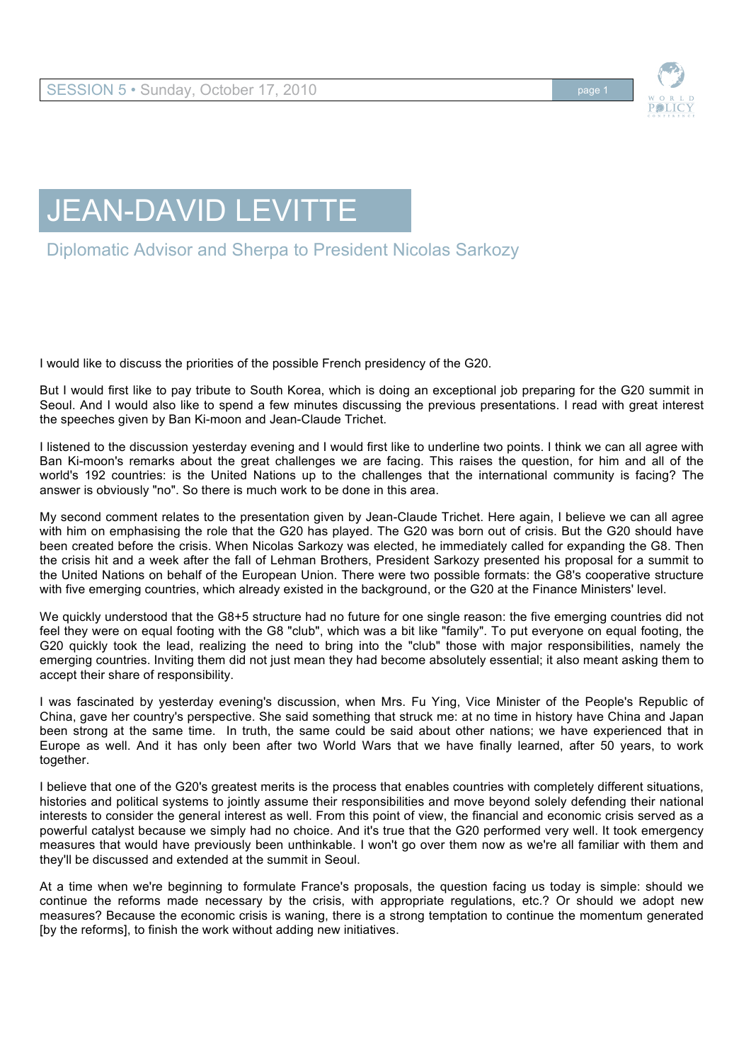

## JEAN-DAVID LEVITTE

Diplomatic Advisor and Sherpa to President Nicolas Sarkozy

I would like to discuss the priorities of the possible French presidency of the G20.

But I would first like to pay tribute to South Korea, which is doing an exceptional job preparing for the G20 summit in Seoul. And I would also like to spend a few minutes discussing the previous presentations. I read with great interest the speeches given by Ban Ki-moon and Jean-Claude Trichet.

I listened to the discussion yesterday evening and I would first like to underline two points. I think we can all agree with Ban Ki-moon's remarks about the great challenges we are facing. This raises the question, for him and all of the world's 192 countries: is the United Nations up to the challenges that the international community is facing? The answer is obviously "no". So there is much work to be done in this area.

My second comment relates to the presentation given by Jean-Claude Trichet. Here again, I believe we can all agree with him on emphasising the role that the G20 has played. The G20 was born out of crisis. But the G20 should have been created before the crisis. When Nicolas Sarkozy was elected, he immediately called for expanding the G8. Then the crisis hit and a week after the fall of Lehman Brothers, President Sarkozy presented his proposal for a summit to the United Nations on behalf of the European Union. There were two possible formats: the G8's cooperative structure with five emerging countries, which already existed in the background, or the G20 at the Finance Ministers' level.

We quickly understood that the G8+5 structure had no future for one single reason: the five emerging countries did not feel they were on equal footing with the G8 "club", which was a bit like "family". To put everyone on equal footing, the G20 quickly took the lead, realizing the need to bring into the "club" those with major responsibilities, namely the emerging countries. Inviting them did not just mean they had become absolutely essential; it also meant asking them to accept their share of responsibility.

I was fascinated by yesterday evening's discussion, when Mrs. Fu Ying, Vice Minister of the People's Republic of China, gave her country's perspective. She said something that struck me: at no time in history have China and Japan been strong at the same time. In truth, the same could be said about other nations; we have experienced that in Europe as well. And it has only been after two World Wars that we have finally learned, after 50 years, to work together.

I believe that one of the G20's greatest merits is the process that enables countries with completely different situations, histories and political systems to jointly assume their responsibilities and move beyond solely defending their national interests to consider the general interest as well. From this point of view, the financial and economic crisis served as a powerful catalyst because we simply had no choice. And it's true that the G20 performed very well. It took emergency measures that would have previously been unthinkable. I won't go over them now as we're all familiar with them and they'll be discussed and extended at the summit in Seoul.

At a time when we're beginning to formulate France's proposals, the question facing us today is simple: should we continue the reforms made necessary by the crisis, with appropriate regulations, etc.? Or should we adopt new measures? Because the economic crisis is waning, there is a strong temptation to continue the momentum generated [by the reforms], to finish the work without adding new initiatives.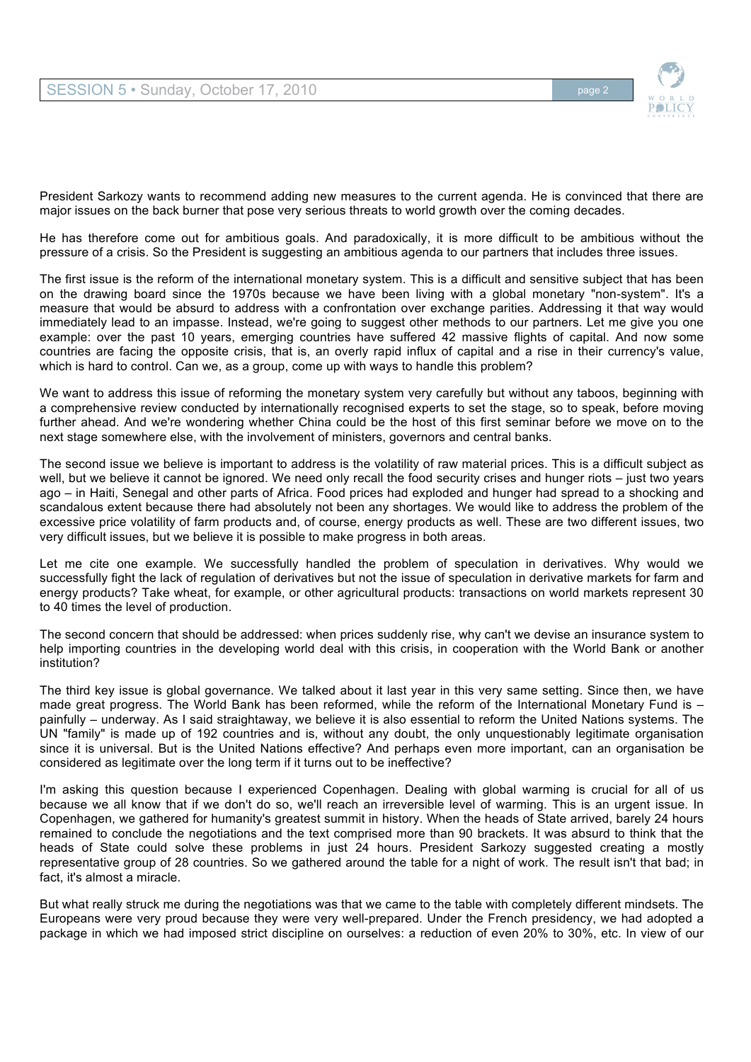

President Sarkozy wants to recommend adding new measures to the current agenda. He is convinced that there are major issues on the back burner that pose very serious threats to world growth over the coming decades.

He has therefore come out for ambitious goals. And paradoxically, it is more difficult to be ambitious without the pressure of a crisis. So the President is suggesting an ambitious agenda to our partners that includes three issues.

The first issue is the reform of the international monetary system. This is a difficult and sensitive subject that has been on the drawing board since the 1970s because we have been living with a global monetary "non-system". It's a measure that would be absurd to address with a confrontation over exchange parities. Addressing it that way would immediately lead to an impasse. Instead, we're going to suggest other methods to our partners. Let me give you one example: over the past 10 years, emerging countries have suffered 42 massive flights of capital. And now some countries are facing the opposite crisis, that is, an overly rapid influx of capital and a rise in their currency's value, which is hard to control. Can we, as a group, come up with ways to handle this problem?

We want to address this issue of reforming the monetary system very carefully but without any taboos, beginning with a comprehensive review conducted by internationally recognised experts to set the stage, so to speak, before moving further ahead. And we're wondering whether China could be the host of this first seminar before we move on to the next stage somewhere else, with the involvement of ministers, governors and central banks.

The second issue we believe is important to address is the volatility of raw material prices. This is a difficult subject as well, but we believe it cannot be ignored. We need only recall the food security crises and hunger riots – just two years ago – in Haiti, Senegal and other parts of Africa. Food prices had exploded and hunger had spread to a shocking and scandalous extent because there had absolutely not been any shortages. We would like to address the problem of the excessive price volatility of farm products and, of course, energy products as well. These are two different issues, two very difficult issues, but we believe it is possible to make progress in both areas.

Let me cite one example. We successfully handled the problem of speculation in derivatives. Why would we successfully fight the lack of regulation of derivatives but not the issue of speculation in derivative markets for farm and energy products? Take wheat, for example, or other agricultural products: transactions on world markets represent 30 to 40 times the level of production.

The second concern that should be addressed: when prices suddenly rise, why can't we devise an insurance system to help importing countries in the developing world deal with this crisis, in cooperation with the World Bank or another institution?

The third key issue is global governance. We talked about it last year in this very same setting. Since then, we have made great progress. The World Bank has been reformed, while the reform of the International Monetary Fund is – painfully – underway. As I said straightaway, we believe it is also essential to reform the United Nations systems. The UN "family" is made up of 192 countries and is, without any doubt, the only unquestionably legitimate organisation since it is universal. But is the United Nations effective? And perhaps even more important, can an organisation be considered as legitimate over the long term if it turns out to be ineffective?

I'm asking this question because I experienced Copenhagen. Dealing with global warming is crucial for all of us because we all know that if we don't do so, we'll reach an irreversible level of warming. This is an urgent issue. In Copenhagen, we gathered for humanity's greatest summit in history. When the heads of State arrived, barely 24 hours remained to conclude the negotiations and the text comprised more than 90 brackets. It was absurd to think that the heads of State could solve these problems in just 24 hours. President Sarkozy suggested creating a mostly representative group of 28 countries. So we gathered around the table for a night of work. The result isn't that bad; in fact, it's almost a miracle.

But what really struck me during the negotiations was that we came to the table with completely different mindsets. The Europeans were very proud because they were very well-prepared. Under the French presidency, we had adopted a package in which we had imposed strict discipline on ourselves: a reduction of even 20% to 30%, etc. In view of our